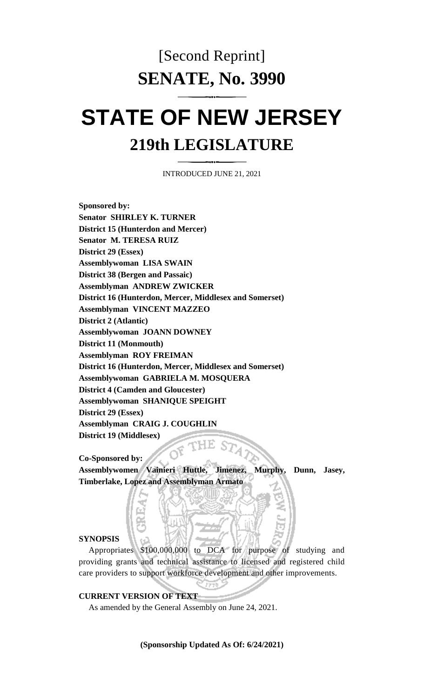# [Second Reprint] **SENATE, No. 3990**

# **STATE OF NEW JERSEY 219th LEGISLATURE**

INTRODUCED JUNE 21, 2021

**Sponsored by: Senator SHIRLEY K. TURNER District 15 (Hunterdon and Mercer) Senator M. TERESA RUIZ District 29 (Essex) Assemblywoman LISA SWAIN District 38 (Bergen and Passaic) Assemblyman ANDREW ZWICKER District 16 (Hunterdon, Mercer, Middlesex and Somerset) Assemblyman VINCENT MAZZEO District 2 (Atlantic) Assemblywoman JOANN DOWNEY District 11 (Monmouth) Assemblyman ROY FREIMAN District 16 (Hunterdon, Mercer, Middlesex and Somerset) Assemblywoman GABRIELA M. MOSQUERA District 4 (Camden and Gloucester) Assemblywoman SHANIQUE SPEIGHT District 29 (Essex) Assemblyman CRAIG J. COUGHLIN District 19 (Middlesex)**  $ST_4$ 

**Co-Sponsored by:**

**Assemblywomen Vainieri Huttle, Jimenez, Murphy, Dunn, Jasey, Timberlake, Lopez and Assemblyman Armato**

## **SYNOPSIS**

Appropriates \$100,000,000 to DCA for purpose of studying and providing grants and technical assistance to licensed and registered child care providers to support workforce development and other improvements.

1776.2

**CURRENT VERSION OF TEXT** 

As amended by the General Assembly on June 24, 2021.

**(Sponsorship Updated As Of: 6/24/2021)**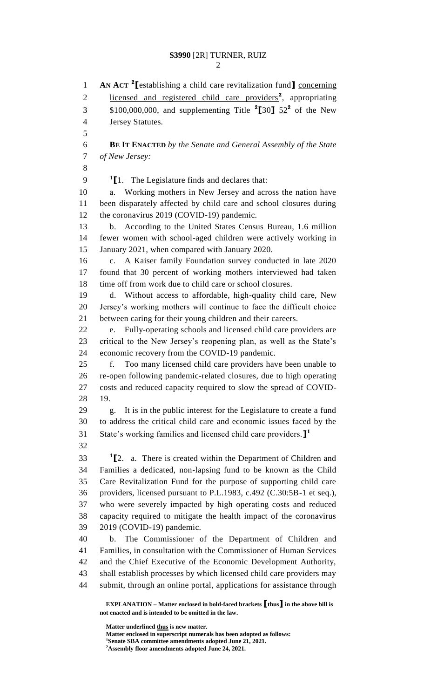**AN ACT <sup>2</sup> [**establishing a child care revitalization fund**]** concerning 2 licensed and registered child care providers<sup>2</sup>, appropriating \$100,000,000, and supplementing Title **<sup>2</sup> [**30**]** 52**<sup>2</sup>** of the New Jersey Statutes. **BE IT ENACTED** *by the Senate and General Assembly of the State of New Jersey:* **[**1. The Legislature finds and declares that: a. Working mothers in New Jersey and across the nation have been disparately affected by child care and school closures during 12 the coronavirus 2019 (COVID-19) pandemic. b. According to the United States Census Bureau, 1.6 million fewer women with school-aged children were actively working in January 2021, when compared with January 2020. c. A Kaiser family Foundation survey conducted in late 2020 found that 30 percent of working mothers interviewed had taken time off from work due to child care or school closures. d. Without access to affordable, high-quality child care, New Jersey's working mothers will continue to face the difficult choice between caring for their young children and their careers. e. Fully-operating schools and licensed child care providers are critical to the New Jersey's reopening plan, as well as the State's economic recovery from the COVID-19 pandemic. f. Too many licensed child care providers have been unable to re-open following pandemic-related closures, due to high operating costs and reduced capacity required to slow the spread of COVID- 19. g. It is in the public interest for the Legislature to create a fund to address the critical child care and economic issues faced by the State's working families and licensed child care providers.**] 1 [**2. a. There is created within the Department of Children and Families a dedicated, non-lapsing fund to be known as the Child Care Revitalization Fund for the purpose of supporting child care providers, licensed pursuant to P.L.1983, c.492 (C.30:5B-1 et seq.), who were severely impacted by high operating costs and reduced capacity required to mitigate the health impact of the coronavirus 2019 (COVID-19) pandemic. b. The Commissioner of the Department of Children and Families, in consultation with the Commissioner of Human Services and the Chief Executive of the Economic Development Authority, shall establish processes by which licensed child care providers may submit, through an online portal, applications for assistance through

**EXPLANATION – Matter enclosed in bold-faced brackets [thus] in the above bill is not enacted and is intended to be omitted in the law.**

**Matter underlined thus is new matter. Matter enclosed in superscript numerals has been adopted as follows: Senate SBA committee amendments adopted June 21, 2021. Assembly floor amendments adopted June 24, 2021.**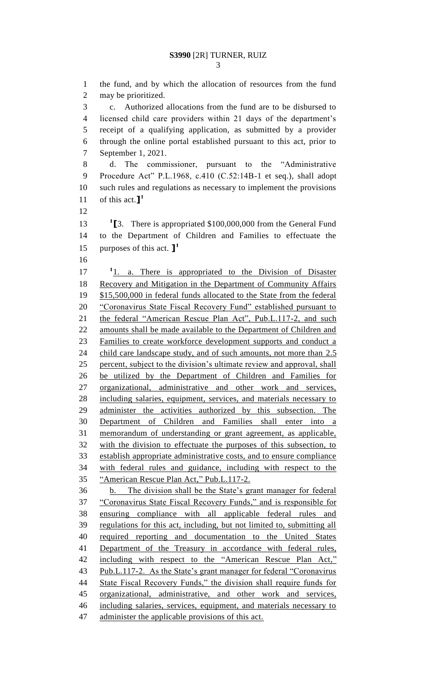the fund, and by which the allocation of resources from the fund may be prioritized. c. Authorized allocations from the fund are to be disbursed to licensed child care providers within 21 days of the department's receipt of a qualifying application, as submitted by a provider through the online portal established pursuant to this act, prior to September 1, 2021. d. The commissioner, pursuant to the "Administrative Procedure Act" P.L.1968, c.410 (C.52:14B-1 et seq.), shall adopt such rules and regulations as necessary to implement the provisions of this act.**] 1 [**3. There is appropriated \$100,000,000 from the General Fund to the Department of Children and Families to effectuate the purposes of this act. **] 1** 17 <sup>1</sup>1. a. There is appropriated to the Division of Disaster Recovery and Mitigation in the Department of Community Affairs \$15,500,000 in federal funds allocated to the State from the federal 20 "Coronavirus State Fiscal Recovery Fund" established pursuant to the federal "American Rescue Plan Act", Pub.L.117-2, and such 22 amounts shall be made available to the Department of Children and Families to create workforce development supports and conduct a 24 child care landscape study, and of such amounts, not more than 2.5 percent, subject to the division's ultimate review and approval, shall be utilized by the Department of Children and Families for organizational, administrative and other work and services, including salaries, equipment, services, and materials necessary to administer the activities authorized by this subsection. The Department of Children and Families shall enter into a memorandum of understanding or grant agreement, as applicable, with the division to effectuate the purposes of this subsection, to establish appropriate administrative costs, and to ensure compliance with federal rules and guidance, including with respect to the "American Rescue Plan Act," Pub.L.117-2. b. The division shall be the State's grant manager for federal "Coronavirus State Fiscal Recovery Funds," and is responsible for ensuring compliance with all applicable federal rules and regulations for this act, including, but not limited to, submitting all required reporting and documentation to the United States Department of the Treasury in accordance with federal rules, including with respect to the "American Rescue Plan Act," Pub.L.117-2. As the State's grant manager for federal "Coronavirus State Fiscal Recovery Funds," the division shall require funds for organizational, administrative, and other work and services, including salaries, services, equipment, and materials necessary to 47 administer the applicable provisions of this act.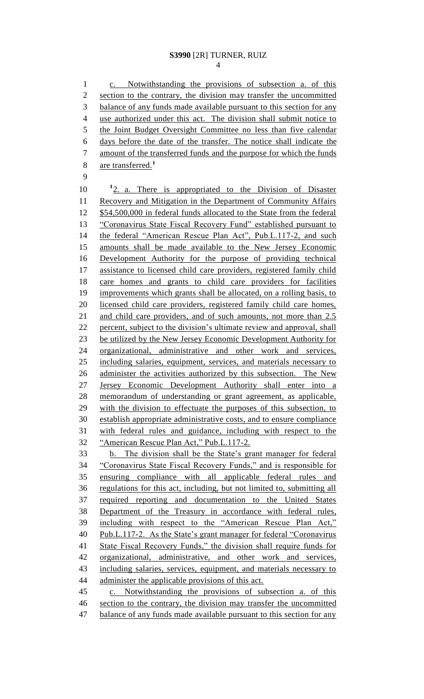### **S3990** [2R] TURNER, RUIZ

 c. Notwithstanding the provisions of subsection a. of this section to the contrary, the division may transfer the uncommitted balance of any funds made available pursuant to this section for any use authorized under this act. The division shall submit notice to the Joint Budget Oversight Committee no less than five calendar days before the date of the transfer. The notice shall indicate the amount of the transferred funds and the purpose for which the funds are transferred.**<sup>1</sup>** 10 <sup>1</sup>2. a. There is appropriated to the Division of Disaster Recovery and Mitigation in the Department of Community Affairs 12 \$54,500,000 in federal funds allocated to the State from the federal 13 "Coronavirus State Fiscal Recovery Fund" established pursuant to 14 the federal "American Rescue Plan Act", Pub.L.117-2, and such amounts shall be made available to the New Jersey Economic Development Authority for the purpose of providing technical 17 assistance to licensed child care providers, registered family child care homes and grants to child care providers for facilities improvements which grants shall be allocated, on a rolling basis, to licensed child care providers, registered family child care homes, 21 and child care providers, and of such amounts, not more than 2.5 percent, subject to the division's ultimate review and approval, shall be utilized by the New Jersey Economic Development Authority for organizational, administrative and other work and services, including salaries, equipment, services, and materials necessary to 26 administer the activities authorized by this subsection. The New Jersey Economic Development Authority shall enter into a memorandum of understanding or grant agreement, as applicable, 29 with the division to effectuate the purposes of this subsection, to establish appropriate administrative costs, and to ensure compliance with federal rules and guidance, including with respect to the "American Rescue Plan Act," Pub.L.117-2. b. The division shall be the State's grant manager for federal "Coronavirus State Fiscal Recovery Funds," and is responsible for ensuring compliance with all applicable federal rules and regulations for this act, including, but not limited to, submitting all required reporting and documentation to the United States Department of the Treasury in accordance with federal rules, including with respect to the "American Rescue Plan Act," Pub.L.117-2. As the State's grant manager for federal "Coronavirus State Fiscal Recovery Funds," the division shall require funds for organizational, administrative, and other work and services, 43 including salaries, services, equipment, and materials necessary to 44 administer the applicable provisions of this act. c. Notwithstanding the provisions of subsection a. of this section to the contrary, the division may transfer the uncommitted 47 balance of any funds made available pursuant to this section for any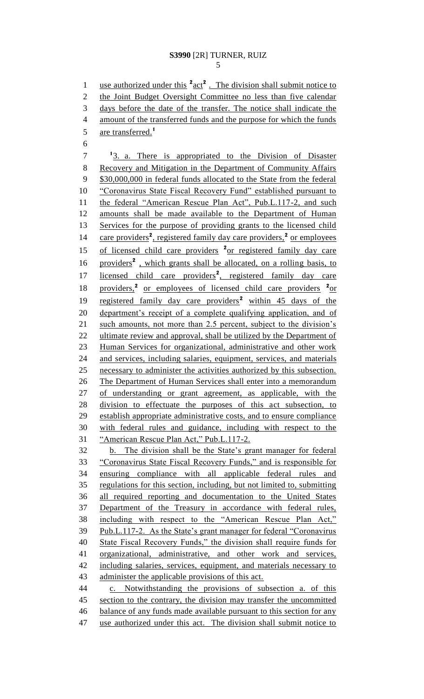## **S3990** [2R] TURNER, RUIZ

1 use authorized under this <sup>2</sup> act<sup>2</sup>. The division shall submit notice to the Joint Budget Oversight Committee no less than five calendar days before the date of the transfer. The notice shall indicate the amount of the transferred funds and the purpose for which the funds are transferred.**<sup>1</sup>** <sup>1</sup>3. a. There is appropriated to the Division of Disaster Recovery and Mitigation in the Department of Community Affairs \$30,000,000 in federal funds allocated to the State from the federal "Coronavirus State Fiscal Recovery Fund" established pursuant to the federal "American Rescue Plan Act", Pub.L.117-2, and such amounts shall be made available to the Department of Human 13 Services for the purpose of providing grants to the licensed child 14 care providers<sup>2</sup>, registered family day care providers,<sup>2</sup> or employees 15 of licensed child care providers <sup>2</sup> or registered family day care 16 providers<sup>2</sup>, which grants shall be allocated, on a rolling basis, to 17 licensed child care providers<sup>2</sup>, registered family day care 18 providers,<sup>2</sup> or employees of licensed child care providers <sup>2</sup> or 19 registered family day care providers<sup>2</sup> within 45 days of the department's receipt of a complete qualifying application, and of 21 such amounts, not more than 2.5 percent, subject to the division's 22 ultimate review and approval, shall be utilized by the Department of Human Services for organizational, administrative and other work and services, including salaries, equipment, services, and materials necessary to administer the activities authorized by this subsection. 26 The Department of Human Services shall enter into a memorandum of understanding or grant agreement, as applicable, with the division to effectuate the purposes of this act subsection, to establish appropriate administrative costs, and to ensure compliance with federal rules and guidance, including with respect to the "American Rescue Plan Act," Pub.L.117-2. b. The division shall be the State's grant manager for federal "Coronavirus State Fiscal Recovery Funds," and is responsible for ensuring compliance with all applicable federal rules and regulations for this section, including, but not limited to, submitting all required reporting and documentation to the United States Department of the Treasury in accordance with federal rules, including with respect to the "American Rescue Plan Act," Pub.L.117-2. As the State's grant manager for federal "Coronavirus State Fiscal Recovery Funds," the division shall require funds for organizational, administrative, and other work and services, including salaries, services, equipment, and materials necessary to 43 administer the applicable provisions of this act. c. Notwithstanding the provisions of subsection a. of this 45 section to the contrary, the division may transfer the uncommitted balance of any funds made available pursuant to this section for any 47 use authorized under this act. The division shall submit notice to